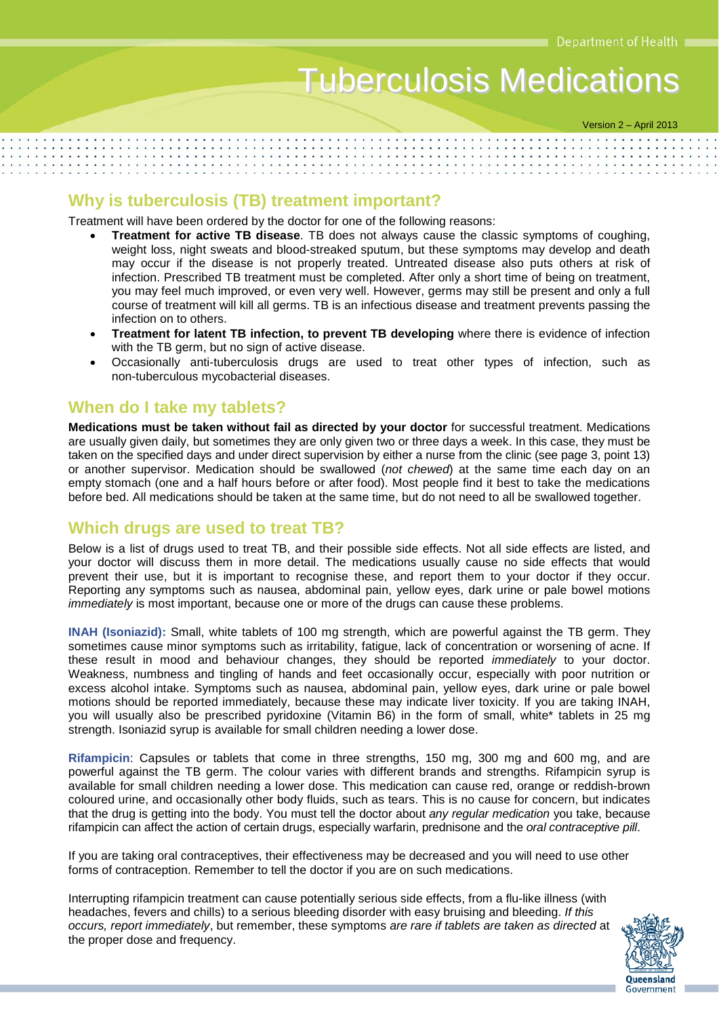# Tuberculosis Medications

Version 2 – April 2013

## **Why is tuberculosis (TB) treatment important?**

Treatment will have been ordered by the doctor for one of the following reasons:

- **Treatment for active TB disease**. TB does not always cause the classic symptoms of coughing, weight loss, night sweats and blood-streaked sputum, but these symptoms may develop and death may occur if the disease is not properly treated. Untreated disease also puts others at risk of infection. Prescribed TB treatment must be completed. After only a short time of being on treatment, you may feel much improved, or even very well. However, germs may still be present and only a full course of treatment will kill all germs. TB is an infectious disease and treatment prevents passing the infection on to others.
- **Treatment for latent TB infection, to prevent TB developing** where there is evidence of infection with the TB germ, but no sign of active disease.
- Occasionally anti-tuberculosis drugs are used to treat other types of infection, such as non-tuberculous mycobacterial diseases.

### **When do I take my tablets?**

**Medications must be taken without fail as directed by your doctor** for successful treatment. Medications are usually given daily, but sometimes they are only given two or three days a week. In this case, they must be taken on the specified days and under direct supervision by either a nurse from the clinic (see page 3, point 13) or another supervisor. Medication should be swallowed (*not chewed*) at the same time each day on an empty stomach (one and a half hours before or after food). Most people find it best to take the medications before bed. All medications should be taken at the same time, but do not need to all be swallowed together.

#### **Which drugs are used to treat TB?**

Below is a list of drugs used to treat TB, and their possible side effects. Not all side effects are listed, and your doctor will discuss them in more detail. The medications usually cause no side effects that would prevent their use, but it is important to recognise these, and report them to your doctor if they occur. Reporting any symptoms such as nausea, abdominal pain, yellow eyes, dark urine or pale bowel motions *immediately* is most important, because one or more of the drugs can cause these problems.

**INAH (Isoniazid):** Small, white tablets of 100 mg strength, which are powerful against the TB germ. They sometimes cause minor symptoms such as irritability, fatigue, lack of concentration or worsening of acne. If these result in mood and behaviour changes, they should be reported *immediately* to your doctor. Weakness, numbness and tingling of hands and feet occasionally occur, especially with poor nutrition or excess alcohol intake. Symptoms such as nausea, abdominal pain, yellow eyes, dark urine or pale bowel motions should be reported immediately, because these may indicate liver toxicity. If you are taking INAH, you will usually also be prescribed pyridoxine (Vitamin B6) in the form of small, white\* tablets in 25 mg strength. Isoniazid syrup is available for small children needing a lower dose.

**Rifampicin**: Capsules or tablets that come in three strengths, 150 mg, 300 mg and 600 mg, and are powerful against the TB germ. The colour varies with different brands and strengths. Rifampicin syrup is available for small children needing a lower dose. This medication can cause red, orange or reddish-brown coloured urine, and occasionally other body fluids, such as tears. This is no cause for concern, but indicates that the drug is getting into the body. You must tell the doctor about *any regular medication* you take, because rifampicin can affect the action of certain drugs, especially warfarin, prednisone and the *oral contraceptive pill*.

If you are taking oral contraceptives, their effectiveness may be decreased and you will need to use other forms of contraception. Remember to tell the doctor if you are on such medications.

Interrupting rifampicin treatment can cause potentially serious side effects, from a flu-like illness (with headaches, fevers and chills) to a serious bleeding disorder with easy bruising and bleeding. *If this occurs, report immediately*, but remember, these symptoms *are rare if tablets are taken as directed* at the proper dose and frequency.

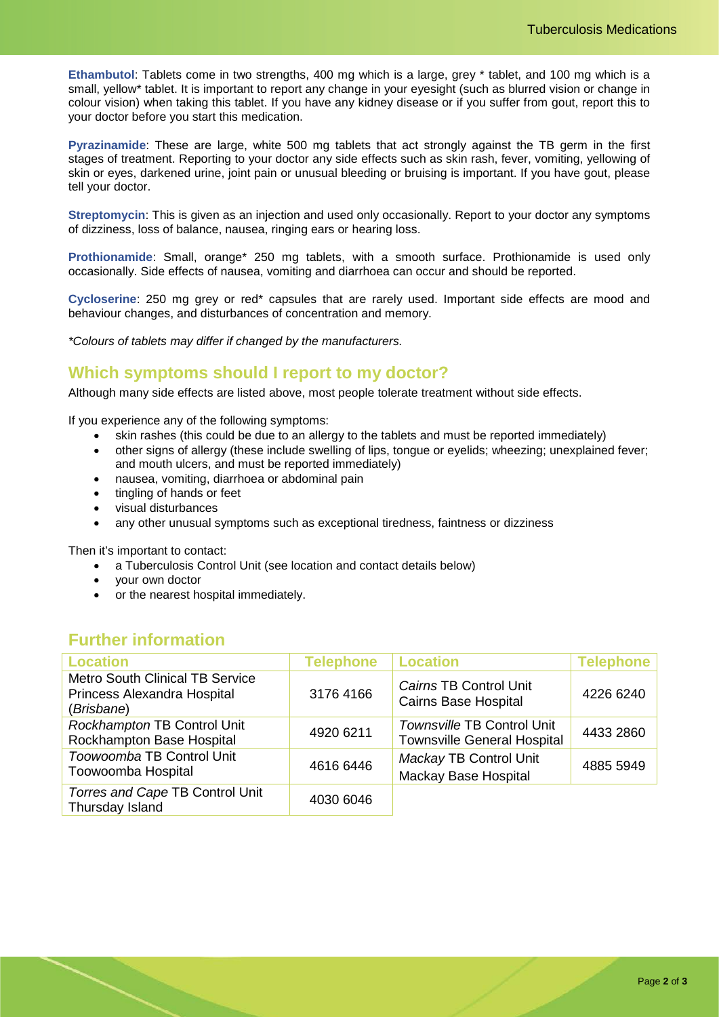**Ethambutol**: Tablets come in two strengths, 400 mg which is a large, grey \* tablet, and 100 mg which is a small, yellow\* tablet. It is important to report any change in your eyesight (such as blurred vision or change in colour vision) when taking this tablet. If you have any kidney disease or if you suffer from gout, report this to your doctor before you start this medication.

**Pyrazinamide**: These are large, white 500 mg tablets that act strongly against the TB germ in the first stages of treatment. Reporting to your doctor any side effects such as skin rash, fever, vomiting, yellowing of skin or eyes, darkened urine, joint pain or unusual bleeding or bruising is important. If you have gout, please tell your doctor.

**Streptomycin**: This is given as an injection and used only occasionally. Report to your doctor any symptoms of dizziness, loss of balance, nausea, ringing ears or hearing loss.

**Prothionamide**: Small, orange\* 250 mg tablets, with a smooth surface. Prothionamide is used only occasionally. Side effects of nausea, vomiting and diarrhoea can occur and should be reported.

**Cycloserine**: 250 mg grey or red\* capsules that are rarely used. Important side effects are mood and behaviour changes, and disturbances of concentration and memory.

*\*Colours of tablets may differ if changed by the manufacturers.*

## **Which symptoms should I report to my doctor?**

Although many side effects are listed above, most people tolerate treatment without side effects.

If you experience any of the following symptoms:

- skin rashes (this could be due to an allergy to the tablets and must be reported immediately)
- other signs of allergy (these include swelling of lips, tongue or eyelids; wheezing; unexplained fever; and mouth ulcers, and must be reported immediately)
- nausea, vomiting, diarrhoea or abdominal pain
- tingling of hands or feet
- visual disturbances
- any other unusual symptoms such as exceptional tiredness, faintness or dizziness

Then it's important to contact:

- a Tuberculosis Control Unit (see location and contact details below)
- your own doctor
- or the nearest hospital immediately.

## **Further information**

| <b>Location</b>                                                                     | <b>Telephone</b> | <b>Location</b>                                                  | <b>Telephone</b> |
|-------------------------------------------------------------------------------------|------------------|------------------------------------------------------------------|------------------|
| <b>Metro South Clinical TB Service</b><br>Princess Alexandra Hospital<br>(Brisbane) | 3176 4166        | Cairns TB Control Unit<br><b>Cairns Base Hospital</b>            | 4226 6240        |
| Rockhampton TB Control Unit<br>Rockhampton Base Hospital                            | 4920 6211        | Townsville TB Control Unit<br><b>Townsville General Hospital</b> | 4433 2860        |
| Toowoomba TB Control Unit<br>Toowoomba Hospital                                     | 4616 6446        | Mackay TB Control Unit<br>Mackay Base Hospital                   | 4885 5949        |
| Torres and Cape TB Control Unit<br>Thursday Island                                  | 4030 6046        |                                                                  |                  |